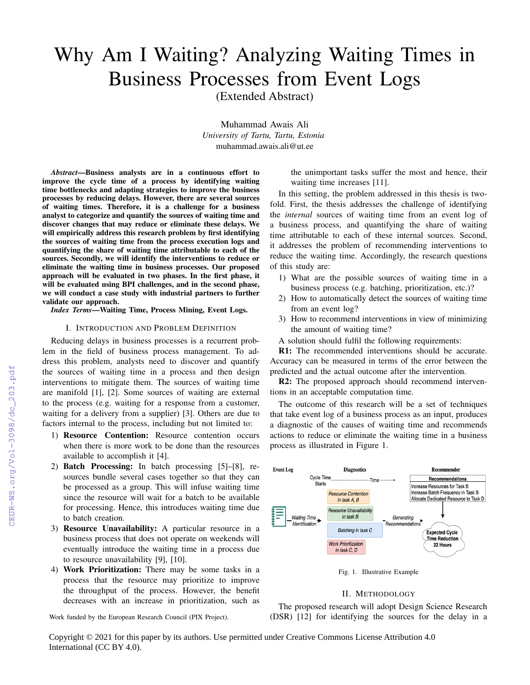# Why Am I Waiting? Analyzing Waiting Times in Business Processes from Event Logs

(Extended Abstract)

Muhammad Awais Ali *University of Tartu, Tartu, Estonia* muhammad.awais.ali@ut.ee

*Abstract*—Business analysts are in a continuous effort to improve the cycle time of a process by identifying waiting time bottlenecks and adapting strategies to improve the business processes by reducing delays. However, there are several sources of waiting times. Therefore, it is a challenge for a business analyst to categorize and quantify the sources of waiting time and discover changes that may reduce or eliminate these delays. We will empirically address this research problem by first identifying the sources of waiting time from the process execution logs and quantifying the share of waiting time attributable to each of the sources. Secondly, we will identify the interventions to reduce or eliminate the waiting time in business processes. Our proposed approach will be evaluated in two phases. In the first phase, it will be evaluated using BPI challenges, and in the second phase, we will conduct a case study with industrial partners to further validate our approach.

*Index Terms*—Waiting Time, Process Mining, Event Logs.

## I. INTRODUCTION AND PROBLEM DEFINITION

Reducing delays in business processes is a recurrent problem in the field of business process management. To address this problem, analysts need to discover and quantify the sources of waiting time in a process and then design interventions to mitigate them. The sources of waiting time are manifold [1], [2]. Some sources of waiting are external to the process (e.g. waiting for a response from a customer, waiting for a delivery from a supplier) [3]. Others are due to factors internal to the process, including but not limited to:

- 1) Resource Contention: Resource contention occurs when there is more work to be done than the resources available to accomplish it [4].
- 2) Batch Processing: In batch processing [5]–[8], resources bundle several cases together so that they can be processed as a group. This will infuse waiting time since the resource will wait for a batch to be available for processing. Hence, this introduces waiting time due to batch creation.
- 3) Resource Unavailability: A particular resource in a business process that does not operate on weekends will eventually introduce the waiting time in a process due to resource unavailability [9], [10].
- 4) Work Prioritization: There may be some tasks in a process that the resource may prioritize to improve the throughput of the process. However, the benefit decreases with an increase in prioritization, such as

Work funded by the European Research Council (PIX Project).

the unimportant tasks suffer the most and hence, their waiting time increases [11].

In this setting, the problem addressed in this thesis is twofold. First, the thesis addresses the challenge of identifying the *internal* sources of waiting time from an event log of a business process, and quantifying the share of waiting time attributable to each of these internal sources. Second, it addresses the problem of recommending interventions to reduce the waiting time. Accordingly, the research questions of this study are:

- 1) What are the possible sources of waiting time in a business process (e.g. batching, prioritization, etc.)?
- 2) How to automatically detect the sources of waiting time from an event log?
- 3) How to recommend interventions in view of minimizing the amount of waiting time?
- A solution should fulfil the following requirements:

R1: The recommended interventions should be accurate. Accuracy can be measured in terms of the error between the predicted and the actual outcome after the intervention.

R2: The proposed approach should recommend interventions in an acceptable computation time.

The outcome of this research will be a set of techniques that take event log of a business process as an input, produces a diagnostic of the causes of waiting time and recommends actions to reduce or eliminate the waiting time in a business process as illustrated in Figure 1.



Fig. 1. Illustrative Example

# II. METHODOLOGY

The proposed research will adopt Design Science Research (DSR) [12] for identifying the sources for the delay in a

Copyright © 2021 for this paper by its authors. Use permitted under Creative Commons License Attribution 4.0 International (CC BY 4.0).